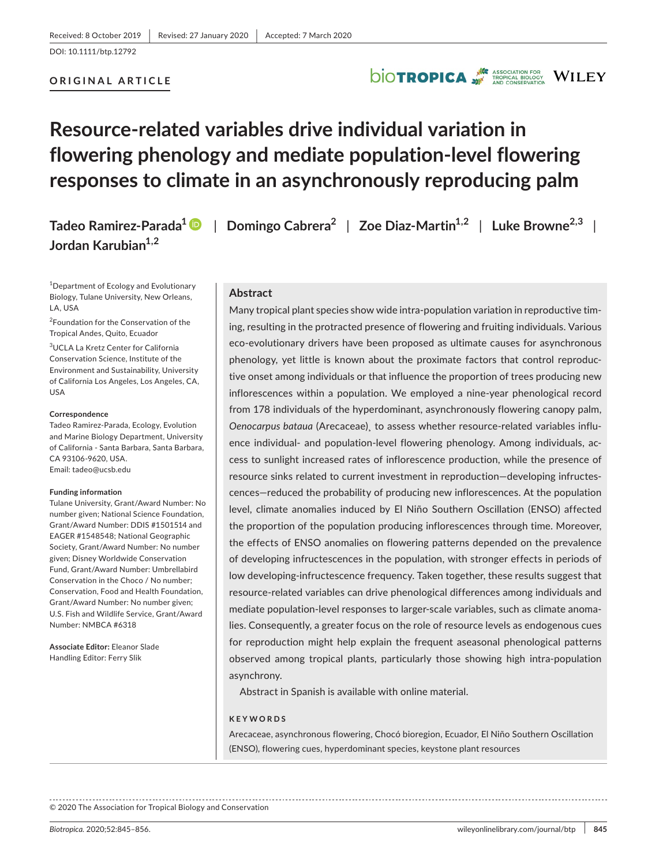# **ORIGINAL ARTICLE**

# **DIOTROPICA** WILEY

# **Resource-related variables drive individual variation in flowering phenology and mediate population-level flowering responses to climate in an asynchronously reproducing palm**

**Tadeo Ramirez-Parada<sup>1</sup>** | **Domingo Cabrera<sup>2</sup>** | **Zoe Diaz-Martin1,2** | **Luke Browne2,3** | **Jordan Karubian1,2**

1 Department of Ecology and Evolutionary Biology, Tulane University, New Orleans, LA, USA

2 Foundation for the Conservation of the Tropical Andes, Quito, Ecuador

3 UCLA La Kretz Center for California Conservation Science, Institute of the Environment and Sustainability, University of California Los Angeles, Los Angeles, CA, USA

#### **Correspondence**

Tadeo Ramirez-Parada, Ecology, Evolution and Marine Biology Department, University of California - Santa Barbara, Santa Barbara, CA 93106-9620, USA. Email: [tadeo@ucsb.edu](mailto:tadeo@ucsb.edu)

#### **Funding information**

Tulane University, Grant/Award Number: No number given; National Science Foundation, Grant/Award Number: DDIS #1501514 and EAGER #1548548; National Geographic Society, Grant/Award Number: No number given; Disney Worldwide Conservation Fund, Grant/Award Number: Umbrellabird Conservation in the Choco / No number; Conservation, Food and Health Foundation, Grant/Award Number: No number given; U.S. Fish and Wildlife Service, Grant/Award Number: NMBCA #6318

**Associate Editor:** Eleanor Slade Handling Editor: Ferry Slik

#### **Abstract**

Many tropical plant species show wide intra-population variation in reproductive timing, resulting in the protracted presence of flowering and fruiting individuals. Various eco-evolutionary drivers have been proposed as ultimate causes for asynchronous phenology, yet little is known about the proximate factors that control reproductive onset among individuals or that influence the proportion of trees producing new inflorescences within a population. We employed a nine-year phenological record from 178 individuals of the hyperdominant, asynchronously flowering canopy palm, *Oenocarpus bataua* (Arecaceae)¸ to assess whether resource-related variables influence individual- and population-level flowering phenology. Among individuals, access to sunlight increased rates of inflorescence production, while the presence of resource sinks related to current investment in reproduction—developing infructescences—reduced the probability of producing new inflorescences. At the population level, climate anomalies induced by El Niño Southern Oscillation (ENSO) affected the proportion of the population producing inflorescences through time. Moreover, the effects of ENSO anomalies on flowering patterns depended on the prevalence of developing infructescences in the population, with stronger effects in periods of low developing-infructescence frequency. Taken together, these results suggest that resource-related variables can drive phenological differences among individuals and mediate population-level responses to larger-scale variables, such as climate anomalies. Consequently, a greater focus on the role of resource levels as endogenous cues for reproduction might help explain the frequent aseasonal phenological patterns observed among tropical plants, particularly those showing high intra-population asynchrony.

Abstract in Spanish is available with online material.

#### **KEYWORDS**

Arecaceae, asynchronous flowering, Chocó bioregion, Ecuador, El Niño Southern Oscillation (ENSO), flowering cues, hyperdominant species, keystone plant resources

© 2020 The Association for Tropical Biology and Conservation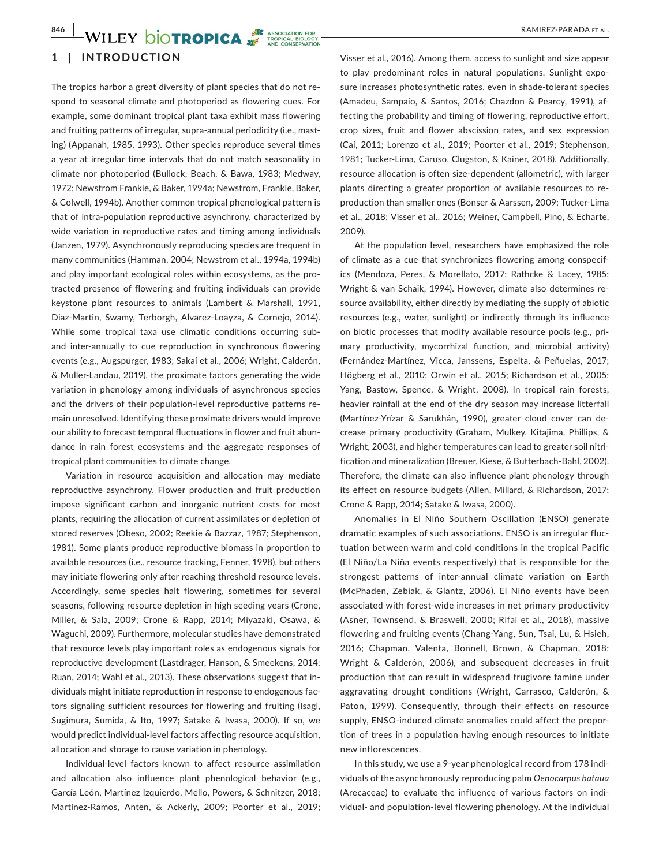# **1** | **INTRODUCTION**

The tropics harbor a great diversity of plant species that do not respond to seasonal climate and photoperiod as flowering cues. For example, some dominant tropical plant taxa exhibit mass flowering and fruiting patterns of irregular, supra-annual periodicity (i.e., masting) (Appanah, 1985, 1993). Other species reproduce several times a year at irregular time intervals that do not match seasonality in climate nor photoperiod (Bullock, Beach, & Bawa, 1983; Medway, 1972; Newstrom Frankie, & Baker, 1994a; Newstrom, Frankie, Baker, & Colwell, 1994b). Another common tropical phenological pattern is that of intra-population reproductive asynchrony, characterized by wide variation in reproductive rates and timing among individuals (Janzen, 1979). Asynchronously reproducing species are frequent in many communities (Hamman, 2004; Newstrom et al., 1994a, 1994b) and play important ecological roles within ecosystems, as the protracted presence of flowering and fruiting individuals can provide keystone plant resources to animals (Lambert & Marshall, 1991, Diaz-Martin, Swamy, Terborgh, Alvarez-Loayza, & Cornejo, 2014). While some tropical taxa use climatic conditions occurring suband inter-annually to cue reproduction in synchronous flowering events (e.g., Augspurger, 1983; Sakai et al., 2006; Wright, Calderón, & Muller-Landau, 2019), the proximate factors generating the wide variation in phenology among individuals of asynchronous species and the drivers of their population-level reproductive patterns remain unresolved. Identifying these proximate drivers would improve our ability to forecast temporal fluctuations in flower and fruit abundance in rain forest ecosystems and the aggregate responses of tropical plant communities to climate change.

Variation in resource acquisition and allocation may mediate reproductive asynchrony. Flower production and fruit production impose significant carbon and inorganic nutrient costs for most plants, requiring the allocation of current assimilates or depletion of stored reserves (Obeso, 2002; Reekie & Bazzaz, 1987; Stephenson, 1981). Some plants produce reproductive biomass in proportion to available resources (i.e., resource tracking, Fenner, 1998), but others may initiate flowering only after reaching threshold resource levels. Accordingly, some species halt flowering, sometimes for several seasons, following resource depletion in high seeding years (Crone, Miller, & Sala, 2009; Crone & Rapp, 2014; Miyazaki, Osawa, & Waguchi, 2009). Furthermore, molecular studies have demonstrated that resource levels play important roles as endogenous signals for reproductive development (Lastdrager, Hanson, & Smeekens, 2014; Ruan, 2014; Wahl et al., 2013). These observations suggest that individuals might initiate reproduction in response to endogenous factors signaling sufficient resources for flowering and fruiting (Isagi, Sugimura, Sumida, & Ito, 1997; Satake & Iwasa, 2000). If so, we would predict individual-level factors affecting resource acquisition, allocation and storage to cause variation in phenology.

Individual-level factors known to affect resource assimilation and allocation also influence plant phenological behavior (e.g., García León, Martínez Izquierdo, Mello, Powers, & Schnitzer, 2018; Martínez-Ramos, Anten, & Ackerly, 2009; Poorter et al., 2019;

Visser et al., 2016). Among them, access to sunlight and size appear to play predominant roles in natural populations. Sunlight exposure increases photosynthetic rates, even in shade-tolerant species (Amadeu, Sampaio, & Santos, 2016; Chazdon & Pearcy, 1991), affecting the probability and timing of flowering, reproductive effort, crop sizes, fruit and flower abscission rates, and sex expression (Cai, 2011; Lorenzo et al., 2019; Poorter et al., 2019; Stephenson, 1981; Tucker-Lima, Caruso, Clugston, & Kainer, 2018). Additionally, resource allocation is often size-dependent (allometric), with larger plants directing a greater proportion of available resources to reproduction than smaller ones (Bonser & Aarssen, 2009; Tucker-Lima et al., 2018; Visser et al., 2016; Weiner, Campbell, Pino, & Echarte, 2009).

At the population level, researchers have emphasized the role of climate as a cue that synchronizes flowering among conspecifics (Mendoza, Peres, & Morellato, 2017; Rathcke & Lacey, 1985; Wright & van Schaik, 1994). However, climate also determines resource availability, either directly by mediating the supply of abiotic resources (e.g., water, sunlight) or indirectly through its influence on biotic processes that modify available resource pools (e.g., primary productivity, mycorrhizal function, and microbial activity) (Fernández-Martínez, Vicca, Janssens, Espelta, & Peñuelas, 2017; Högberg et al., 2010; Orwin et al., 2015; Richardson et al., 2005; Yang, Bastow, Spence, & Wright, 2008). In tropical rain forests, heavier rainfall at the end of the dry season may increase litterfall (Martínez-Yrízar & Sarukhán, 1990), greater cloud cover can decrease primary productivity (Graham, Mulkey, Kitajima, Phillips, & Wright, 2003), and higher temperatures can lead to greater soil nitrification and mineralization (Breuer, Kiese, & Butterbach-Bahl, 2002). Therefore, the climate can also influence plant phenology through its effect on resource budgets (Allen, Millard, & Richardson, 2017; Crone & Rapp, 2014; Satake & Iwasa, 2000).

Anomalies in El Niño Southern Oscillation (ENSO) generate dramatic examples of such associations. ENSO is an irregular fluctuation between warm and cold conditions in the tropical Pacific (El Niño/La Niña events respectively) that is responsible for the strongest patterns of inter-annual climate variation on Earth (McPhaden, Zebiak, & Glantz, 2006). El Niño events have been associated with forest-wide increases in net primary productivity (Asner, Townsend, & Braswell, 2000; Rifai et al., 2018), massive flowering and fruiting events (Chang-Yang, Sun, Tsai, Lu, & Hsieh, 2016; Chapman, Valenta, Bonnell, Brown, & Chapman, 2018; Wright & Calderón, 2006), and subsequent decreases in fruit production that can result in widespread frugivore famine under aggravating drought conditions (Wright, Carrasco, Calderón, & Paton, 1999). Consequently, through their effects on resource supply, ENSO-induced climate anomalies could affect the proportion of trees in a population having enough resources to initiate new inflorescences.

In this study, we use a 9-year phenological record from 178 individuals of the asynchronously reproducing palm *Oenocarpus bataua* (Arecaceae) to evaluate the influence of various factors on individual- and population-level flowering phenology. At the individual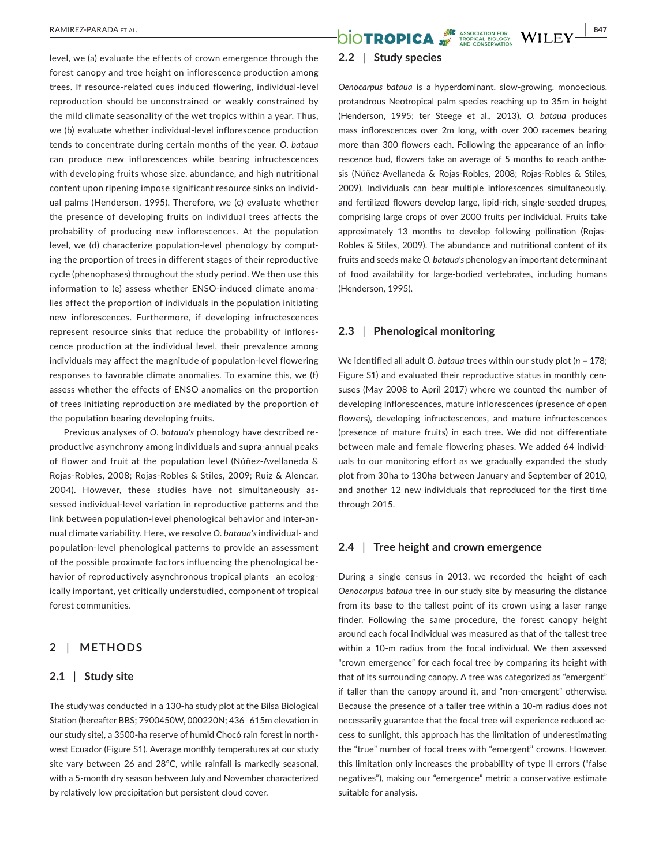level, we (a) evaluate the effects of crown emergence through the forest canopy and tree height on inflorescence production among trees. If resource-related cues induced flowering, individual-level reproduction should be unconstrained or weakly constrained by the mild climate seasonality of the wet tropics within a year. Thus, we (b) evaluate whether individual-level inflorescence production tends to concentrate during certain months of the year. *O. bataua* can produce new inflorescences while bearing infructescences with developing fruits whose size, abundance, and high nutritional content upon ripening impose significant resource sinks on individual palms (Henderson, 1995). Therefore, we (c) evaluate whether the presence of developing fruits on individual trees affects the probability of producing new inflorescences. At the population level, we (d) characterize population-level phenology by computing the proportion of trees in different stages of their reproductive cycle (phenophases) throughout the study period. We then use this information to (e) assess whether ENSO-induced climate anomalies affect the proportion of individuals in the population initiating new inflorescences. Furthermore, if developing infructescences represent resource sinks that reduce the probability of inflorescence production at the individual level, their prevalence among individuals may affect the magnitude of population-level flowering responses to favorable climate anomalies. To examine this, we (f) assess whether the effects of ENSO anomalies on the proportion of trees initiating reproduction are mediated by the proportion of the population bearing developing fruits.

Previous analyses of *O. bataua's* phenology have described reproductive asynchrony among individuals and supra-annual peaks of flower and fruit at the population level (Núñez-Avellaneda & Rojas-Robles, 2008; Rojas-Robles & Stiles, 2009; Ruiz & Alencar, 2004). However, these studies have not simultaneously assessed individual-level variation in reproductive patterns and the link between population-level phenological behavior and inter-annual climate variability. Here, we resolve *O. bataua's* individual- and population-level phenological patterns to provide an assessment of the possible proximate factors influencing the phenological behavior of reproductively asynchronous tropical plants—an ecologically important, yet critically understudied, component of tropical forest communities.

### **2** | **METHODS**

## **2.1** | **Study site**

The study was conducted in a 130-ha study plot at the Bilsa Biological Station (hereafter BBS; 7900450W, 000220N; 436–615m elevation in our study site), a 3500-ha reserve of humid Chocó rain forest in northwest Ecuador (Figure S1). Average monthly temperatures at our study site vary between 26 and 28°C, while rainfall is markedly seasonal, with a 5-month dry season between July and November characterized by relatively low precipitation but persistent cloud cover.

# **RAMIREZ-PARADA ET AL.** 847

# **2.2** | **Study species**

*Oenocarpus bataua* is a hyperdominant, slow-growing, monoecious, protandrous Neotropical palm species reaching up to 35m in height (Henderson, 1995; ter Steege et al., 2013). *O. bataua* produces mass inflorescences over 2m long, with over 200 racemes bearing more than 300 flowers each. Following the appearance of an inflorescence bud, flowers take an average of 5 months to reach anthesis (Núñez-Avellaneda & Rojas-Robles, 2008; Rojas-Robles & Stiles, 2009). Individuals can bear multiple inflorescences simultaneously, and fertilized flowers develop large, lipid-rich, single-seeded drupes, comprising large crops of over 2000 fruits per individual. Fruits take approximately 13 months to develop following pollination (Rojas-Robles & Stiles, 2009). The abundance and nutritional content of its fruits and seeds make *O. bataua's* phenology an important determinant of food availability for large-bodied vertebrates, including humans (Henderson, 1995).

# **2.3** | **Phenological monitoring**

We identified all adult *O. bataua* trees within our study plot (*n* = 178; Figure S1) and evaluated their reproductive status in monthly censuses (May 2008 to April 2017) where we counted the number of developing inflorescences, mature inflorescences (presence of open flowers), developing infructescences, and mature infructescences (presence of mature fruits) in each tree. We did not differentiate between male and female flowering phases. We added 64 individuals to our monitoring effort as we gradually expanded the study plot from 30ha to 130ha between January and September of 2010, and another 12 new individuals that reproduced for the first time through 2015.

### **2.4** | **Tree height and crown emergence**

During a single census in 2013, we recorded the height of each *Oenocarpus bataua* tree in our study site by measuring the distance from its base to the tallest point of its crown using a laser range finder. Following the same procedure, the forest canopy height around each focal individual was measured as that of the tallest tree within a 10-m radius from the focal individual. We then assessed "crown emergence" for each focal tree by comparing its height with that of its surrounding canopy. A tree was categorized as "emergent" if taller than the canopy around it, and "non-emergent" otherwise. Because the presence of a taller tree within a 10-m radius does not necessarily guarantee that the focal tree will experience reduced access to sunlight, this approach has the limitation of underestimating the "true" number of focal trees with "emergent" crowns. However, this limitation only increases the probability of type II errors ("false negatives"), making our "emergence" metric a conservative estimate suitable for analysis.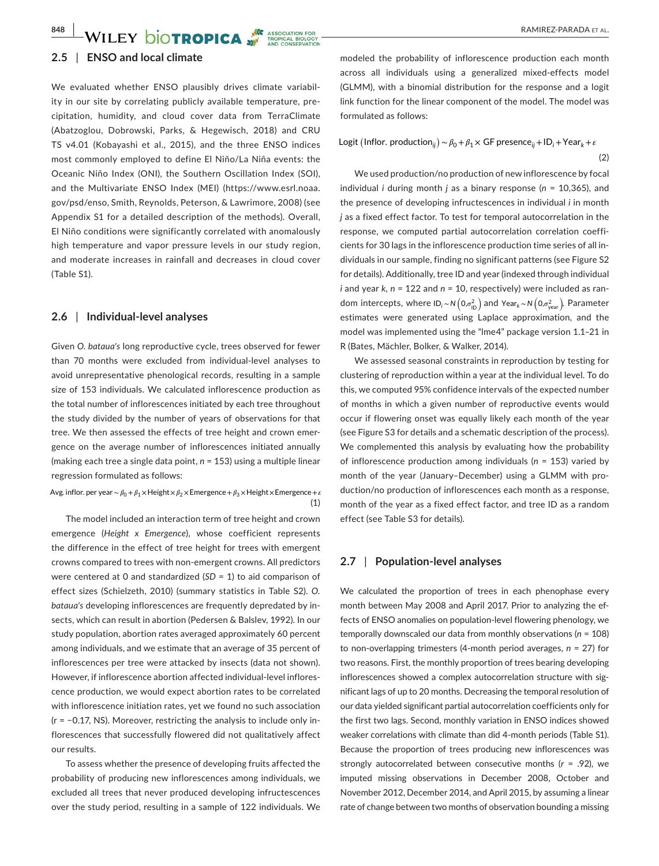#### **2.5** | **ENSO and local climate**

We evaluated whether ENSO plausibly drives climate variability in our site by correlating publicly available temperature, precipitation, humidity, and cloud cover data from TerraClimate (Abatzoglou, Dobrowski, Parks, & Hegewisch, 2018) and CRU TS v4.01 (Kobayashi et al., 2015), and the three ENSO indices most commonly employed to define El Niño/La Niña events: the Oceanic Niño Index (ONI), the Southern Oscillation Index (SOI), and the Multivariate ENSO Index (MEI) ([https://www.esrl.noaa.](https://www.esrl.noaa.gov/psd/enso) [gov/psd/enso,](https://www.esrl.noaa.gov/psd/enso) Smith, Reynolds, Peterson, & Lawrimore, 2008) (see Appendix S1 for a detailed description of the methods). Overall, El Niño conditions were significantly correlated with anomalously high temperature and vapor pressure levels in our study region, and moderate increases in rainfall and decreases in cloud cover (Table S1).

### **2.6** | **Individual-level analyses**

Given *O. bataua's* long reproductive cycle, trees observed for fewer than 70 months were excluded from individual-level analyses to avoid unrepresentative phenological records, resulting in a sample size of 153 individuals. We calculated inflorescence production as the total number of inflorescences initiated by each tree throughout the study divided by the number of years of observations for that tree. We then assessed the effects of tree height and crown emergence on the average number of inflorescences initiated annually (making each tree a single data point, *n* = 153) using a multiple linear regression formulated as follows:

(1) Avg. inflor. per year∼ $β_0 + β_1 ×$ Height× $β_2 ×$ Emergence +  $β_3 ×$ Height × Emergence +  $ε$ 

The model included an interaction term of tree height and crown emergence (*Height x Emergence*), whose coefficient represents the difference in the effect of tree height for trees with emergent crowns compared to trees with non-emergent crowns. All predictors were centered at 0 and standardized (*SD* = 1) to aid comparison of effect sizes (Schielzeth, 2010) (summary statistics in Table S2). *O. bataua's* developing inflorescences are frequently depredated by insects, which can result in abortion (Pedersen & Balslev, 1992). In our study population, abortion rates averaged approximately 60 percent among individuals, and we estimate that an average of 35 percent of inflorescences per tree were attacked by insects (data not shown). However, if inflorescence abortion affected individual-level inflorescence production, we would expect abortion rates to be correlated with inflorescence initiation rates, yet we found no such association (r = −0.17, NS). Moreover, restricting the analysis to include only inflorescences that successfully flowered did not qualitatively affect our results.

To assess whether the presence of developing fruits affected the probability of producing new inflorescences among individuals, we excluded all trees that never produced developing infructescences over the study period, resulting in a sample of 122 individuals. We modeled the probability of inflorescence production each month across all individuals using a generalized mixed-effects model (GLMM), with a binomial distribution for the response and a logit link function for the linear component of the model. The model was formulated as follows:

# (2) Logit (Inflor. production<sub>ij</sub>) ~  $β$ <sub>0</sub> +  $β$ <sub>1</sub> × GF presence<sub>ij</sub> + ID<sub>i</sub> + Year<sub>k</sub> + ε

We used production/no production of new inflorescence by focal individual *i* during month *j* as a binary response (*n* = 10,365), and the presence of developing infructescences in individual *i* in month *j* as a fixed effect factor. To test for temporal autocorrelation in the response, we computed partial autocorrelation correlation coefficients for 30 lags in the inflorescence production time series of all individuals in our sample, finding no significant patterns (see Figure S2 for details). Additionally, tree ID and year (indexed through individual *i* and year *k, n* = 122 and *n* = 10, respectively) were included as random intercepts, where ID<sub>i</sub>∼N $(0,\sigma_{\text{ID}}^2)$  and Year<sub>k</sub>∼N $(0,\sigma_{\text{year}}^2)$ . Parameter estimates were generated using Laplace approximation, and the model was implemented using the "lme4" package version 1.1–21 in R (Bates, Mächler, Bolker, & Walker, 2014).

We assessed seasonal constraints in reproduction by testing for clustering of reproduction within a year at the individual level. To do this, we computed 95% confidence intervals of the expected number of months in which a given number of reproductive events would occur if flowering onset was equally likely each month of the year (see Figure S3 for details and a schematic description of the process). We complemented this analysis by evaluating how the probability of inflorescence production among individuals (*n* = 153) varied by month of the year (January–December) using a GLMM with production/no production of inflorescences each month as a response, month of the year as a fixed effect factor, and tree ID as a random effect (see Table S3 for details).

# **2.7** | **Population-level analyses**

We calculated the proportion of trees in each phenophase every month between May 2008 and April 2017. Prior to analyzing the effects of ENSO anomalies on population-level flowering phenology, we temporally downscaled our data from monthly observations (*n* = 108) to non-overlapping trimesters (4-month period averages, *n* = 27) for two reasons. First, the monthly proportion of trees bearing developing inflorescences showed a complex autocorrelation structure with significant lags of up to 20 months. Decreasing the temporal resolution of our data yielded significant partial autocorrelation coefficients only for the first two lags. Second, monthly variation in ENSO indices showed weaker correlations with climate than did 4-month periods (Table S1). Because the proportion of trees producing new inflorescences was strongly autocorrelated between consecutive months (*r* = .92), we imputed missing observations in December 2008, October and November 2012, December 2014, and April 2015, by assuming a linear rate of change between two months of observation bounding a missing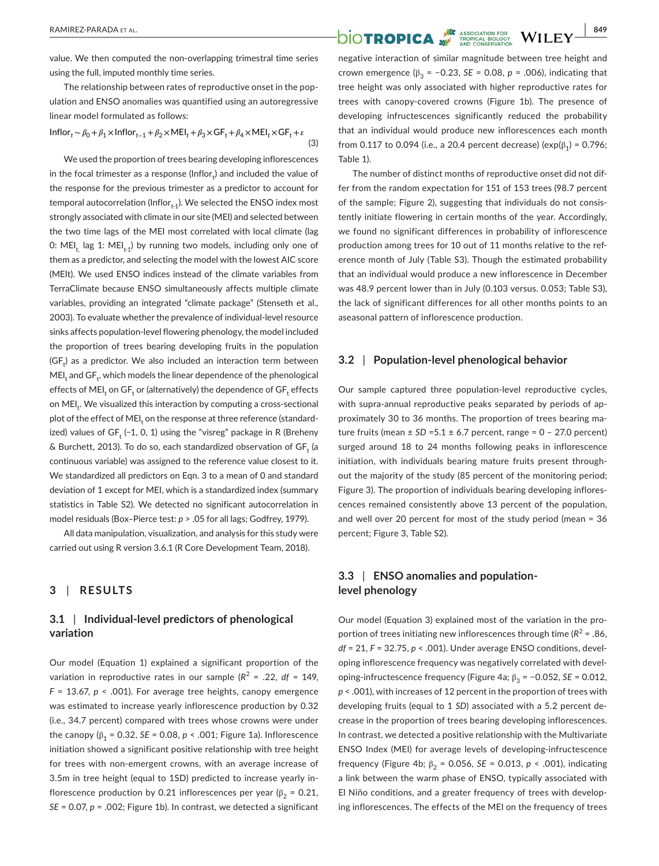value. We then computed the non-overlapping trimestral time series using the full, imputed monthly time series.

The relationship between rates of reproductive onset in the population and ENSO anomalies was quantified using an autoregressive linear model formulated as follows:

$$
Inflor_{t} \sim \beta_0 + \beta_1 \times Inflor_{t-1} + \beta_2 \times MEI_t + \beta_3 \times GF_t + \beta_4 \times MEI_t \times GF_t + \epsilon
$$
\n(3)

We used the proportion of trees bearing developing inflorescences in the focal trimester as a response (Inflor $_{\rm t}$ ) and included the value of the response for the previous trimester as a predictor to account for temporal autocorrelation (Inflor $_{t-1}$ ). We selected the ENSO index most strongly associated with climate in our site (MEI) and selected between the two time lags of the MEI most correlated with local climate (lag 0: MEI<sub>t</sub>, lag 1: MEI<sub>t-1</sub>) by running two models, including only one of them as a predictor, and selecting the model with the lowest AIC score (MEIt). We used ENSO indices instead of the climate variables from TerraClimate because ENSO simultaneously affects multiple climate variables, providing an integrated "climate package" (Stenseth et al., 2003). To evaluate whether the prevalence of individual-level resource sinks affects population-level flowering phenology, the model included the proportion of trees bearing developing fruits in the population (GF<sub>t</sub>) as a predictor. We also included an interaction term between  $\mathsf{MEI}_{\mathsf{t}}$  and  $\mathsf{GF}_{\mathsf{t}^\prime}$  which models the linear dependence of the phenological effects of MEI<sub>t</sub> on GF<sub>t</sub> or (alternatively) the dependence of GF<sub>t</sub> effects on MEI<sub>t</sub>. We visualized this interaction by computing a cross-sectional plot of the effect of MEI<sub>t</sub> on the response at three reference (standardized) values of GF $_{\rm t}$  (−1, 0, 1) using the "visreg" package in R (Breheny & Burchett, 2013). To do so, each standardized observation of  $\mathsf{GF}_{\mathsf{t}}$  (a continuous variable) was assigned to the reference value closest to it. We standardized all predictors on Eqn. 3 to a mean of 0 and standard deviation of 1 except for MEI, which is a standardized index (summary statistics in Table S2). We detected no significant autocorrelation in model residuals (Box–Pierce test: *p* > .05 for all lags; Godfrey, 1979).

All data manipulation, visualization, and analysis for this study were carried out using R version 3.6.1 (R Core Development Team, 2018).

# **3** | **RESULTS**

# **3.1** | **Individual-level predictors of phenological variation**

Our model (Equation 1) explained a significant proportion of the variation in reproductive rates in our sample  $(R^2 = .22, df = 149,$ *F* = 13.67, *p* < .001). For average tree heights, canopy emergence was estimated to increase yearly inflorescence production by 0.32 (i.e., 34.7 percent) compared with trees whose crowns were under the canopy ( $β_1 = 0.32$ , *SE* = 0.08, *p* < .001; Figure 1a). Inflorescence initiation showed a significant positive relationship with tree height for trees with non-emergent crowns, with an average increase of 3.5m in tree height (equal to 1SD) predicted to increase yearly inflorescence production by 0.21 inflorescences per year ( $\beta_2$  = 0.21, *SE* = 0.07, *p* = .002; Figure 1b). In contrast, we detected a significant

negative interaction of similar magnitude between tree height and crown emergence ( $\beta_2$  = -0.23, *SE* = 0.08, *p* = .006), indicating that tree height was only associated with higher reproductive rates for trees with canopy-covered crowns (Figure 1b). The presence of developing infructescences significantly reduced the probability that an individual would produce new inflorescences each month from 0.117 to 0.094 (i.e., a 20.4 percent decrease) (exp( $β_1$ ) = 0.796; Table 1).

The number of distinct months of reproductive onset did not differ from the random expectation for 151 of 153 trees (98.7 percent of the sample; Figure 2), suggesting that individuals do not consistently initiate flowering in certain months of the year. Accordingly, we found no significant differences in probability of inflorescence production among trees for 10 out of 11 months relative to the reference month of July (Table S3). Though the estimated probability that an individual would produce a new inflorescence in December was 48.9 percent lower than in July (0.103 versus. 0.053; Table S3), the lack of significant differences for all other months points to an aseasonal pattern of inflorescence production.

# **3.2** | **Population-level phenological behavior**

Our sample captured three population-level reproductive cycles, with supra-annual reproductive peaks separated by periods of approximately 30 to 36 months. The proportion of trees bearing mature fruits (mean  $\pm$  SD = 5.1  $\pm$  6.7 percent, range = 0 - 27.0 percent) surged around 18 to 24 months following peaks in inflorescence initiation, with individuals bearing mature fruits present throughout the majority of the study (85 percent of the monitoring period; Figure 3). The proportion of individuals bearing developing inflorescences remained consistently above 13 percent of the population, and well over 20 percent for most of the study period (mean = 36 percent; Figure 3, Table S2).

# **3.3** | **ENSO anomalies and populationlevel phenology**

Our model (Equation 3) explained most of the variation in the proportion of trees initiating new inflorescences through time  $(R^2 = .86,$ *df* = 21, *F* = 32.75, *p* < .001). Under average ENSO conditions, developing inflorescence frequency was negatively correlated with developing-infructescence frequency (Figure 4a; β<sub>3</sub> = −0.052, *SE* = 0.012, *p* < .001), with increases of 12 percent in the proportion of trees with developing fruits (equal to 1 *SD*) associated with a 5.2 percent decrease in the proportion of trees bearing developing inflorescences. In contrast, we detected a positive relationship with the Multivariate ENSO Index (MEI) for average levels of developing-infructescence frequency (Figure 4b;  $β_2 = 0.056$ , *SE* = 0.013, *p* < .001), indicating a link between the warm phase of ENSO, typically associated with El Niño conditions, and a greater frequency of trees with developing inflorescences. The effects of the MEI on the frequency of trees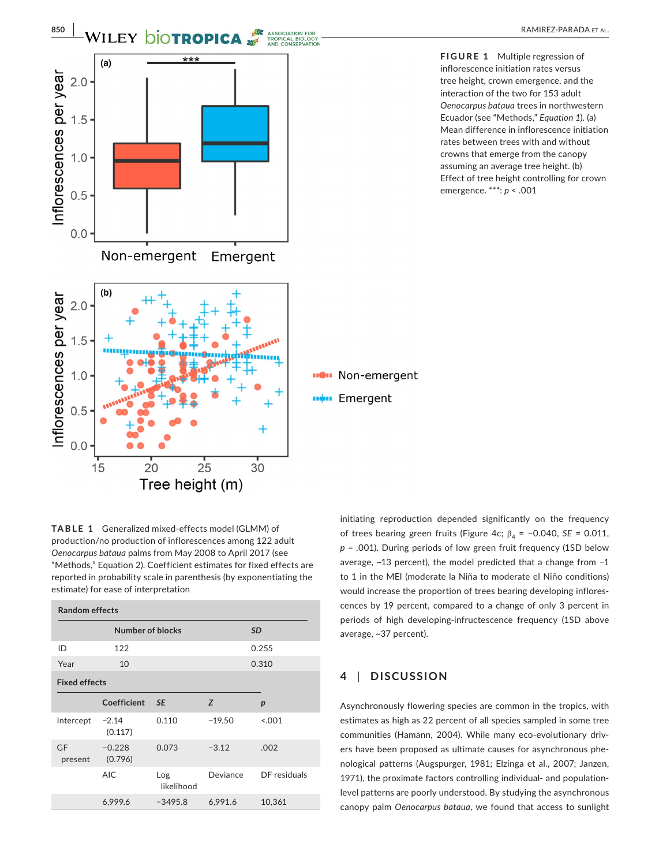

**FIGURE 1** Multiple regression of inflorescence initiation rates versus tree height, crown emergence, and the interaction of the two for 153 adult *Oenocarpus bataua* trees in northwestern Ecuador (see "Methods," *Equation 1*). (a) Mean difference in inflorescence initiation rates between trees with and without crowns that emerge from the canopy assuming an average tree height. (b) Effect of tree height controlling for crown emergence. \*\*\*: *p* < .001

**TABLE 1** Generalized mixed-effects model (GLMM) of production/no production of inflorescences among 122 adult *Oenocarpus bataua* palms from May 2008 to April 2017 (see "Methods," Equation 2). Coefficient estimates for fixed effects are reported in probability scale in parenthesis (by exponentiating the estimate) for ease of interpretation

| <b>Random effects</b> |                     |                   |          |                  |
|-----------------------|---------------------|-------------------|----------|------------------|
|                       | Number of blocks    |                   |          | <b>SD</b>        |
| ID                    | 122                 |                   |          | 0.255            |
| Year                  | 10                  |                   |          | 0.310            |
| <b>Fixed effects</b>  |                     |                   |          |                  |
|                       | Coefficient         | <b>SE</b>         | Z        | $\boldsymbol{p}$ |
| Intercept             | $-2.14$<br>(0.117)  | 0.110             | $-19.50$ | < 0.01           |
| GF<br>present         | $-0.228$<br>(0.796) | 0.073             | $-3.12$  | .002             |
|                       | <b>AIC</b>          | Log<br>likelihood | Deviance | DF residuals     |
|                       | 6,999.6             | $-3495.8$         | 6.991.6  | 10,361           |

initiating reproduction depended significantly on the frequency of trees bearing green fruits (Figure 4c;  $β<sub>4</sub> = −0.040$ , *SE* = 0.011, *p* = .001). During periods of low green fruit frequency (1SD below average, ~13 percent), the model predicted that a change from −1 to 1 in the MEI (moderate la Niña to moderate el Niño conditions) would increase the proportion of trees bearing developing inflorescences by 19 percent, compared to a change of only 3 percent in periods of high developing-infructescence frequency (1SD above average, ~37 percent).

# **4** | **DISCUSSION**

Asynchronously flowering species are common in the tropics, with estimates as high as 22 percent of all species sampled in some tree communities (Hamann, 2004). While many eco-evolutionary drivers have been proposed as ultimate causes for asynchronous phenological patterns (Augspurger, 1981; Elzinga et al., 2007; Janzen, 1971), the proximate factors controlling individual- and populationlevel patterns are poorly understood. By studying the asynchronous canopy palm *Oenocarpus bataua*, we found that access to sunlight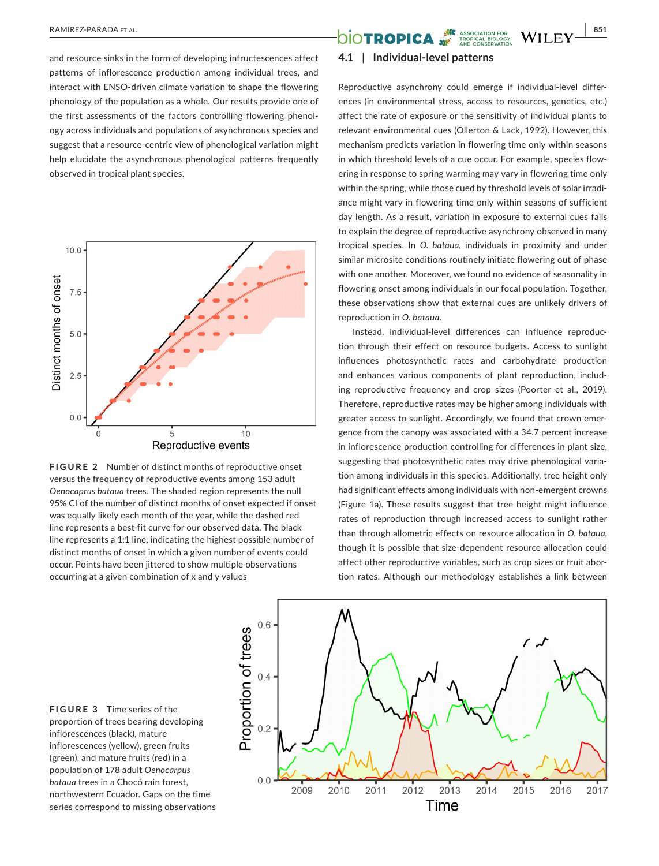and resource sinks in the form of developing infructescences affect patterns of inflorescence production among individual trees, and interact with ENSO-driven climate variation to shape the flowering phenology of the population as a whole. Our results provide one of the first assessments of the factors controlling flowering phenology across individuals and populations of asynchronous species and suggest that a resource-centric view of phenological variation might help elucidate the asynchronous phenological patterns frequently observed in tropical plant species.



**FIGURE 2** Number of distinct months of reproductive onset versus the frequency of reproductive events among 153 adult *Oenocaprus bataua* trees. The shaded region represents the null 95% CI of the number of distinct months of onset expected if onset was equally likely each month of the year, while the dashed red line represents a best-fit curve for our observed data. The black line represents a 1:1 line, indicating the highest possible number of distinct months of onset in which a given number of events could occur. Points have been jittered to show multiple observations occurring at a given combination of x and y values

# **RAMIREZ-PARADA ET AL. 851**<br> **BLOTROPICA** WILEY 851

# **4.1** | **Individual-level patterns**

Reproductive asynchrony could emerge if individual-level differences (in environmental stress, access to resources, genetics, etc.) affect the rate of exposure or the sensitivity of individual plants to relevant environmental cues (Ollerton & Lack, 1992). However, this mechanism predicts variation in flowering time only within seasons in which threshold levels of a cue occur. For example, species flowering in response to spring warming may vary in flowering time only within the spring, while those cued by threshold levels of solar irradiance might vary in flowering time only within seasons of sufficient day length. As a result, variation in exposure to external cues fails to explain the degree of reproductive asynchrony observed in many tropical species. In *O. bataua*, individuals in proximity and under similar microsite conditions routinely initiate flowering out of phase with one another. Moreover, we found no evidence of seasonality in flowering onset among individuals in our focal population. Together, these observations show that external cues are unlikely drivers of reproduction in *O. bataua*.

Instead, individual-level differences can influence reproduction through their effect on resource budgets. Access to sunlight influences photosynthetic rates and carbohydrate production and enhances various components of plant reproduction, including reproductive frequency and crop sizes (Poorter et al., 2019). Therefore, reproductive rates may be higher among individuals with greater access to sunlight. Accordingly, we found that crown emergence from the canopy was associated with a 34.7 percent increase in inflorescence production controlling for differences in plant size, suggesting that photosynthetic rates may drive phenological variation among individuals in this species. Additionally, tree height only had significant effects among individuals with non-emergent crowns (Figure 1a). These results suggest that tree height might influence rates of reproduction through increased access to sunlight rather than through allometric effects on resource allocation in *O. bataua*, though it is possible that size-dependent resource allocation could affect other reproductive variables, such as crop sizes or fruit abortion rates. Although our methodology establishes a link between

**FIGURE 3** Time series of the proportion of trees bearing developing inflorescences (black), mature inflorescences (yellow), green fruits (green), and mature fruits (red) in a population of 178 adult *Oenocarpus bataua* trees in a Chocó rain forest, northwestern Ecuador. Gaps on the time series correspond to missing observations

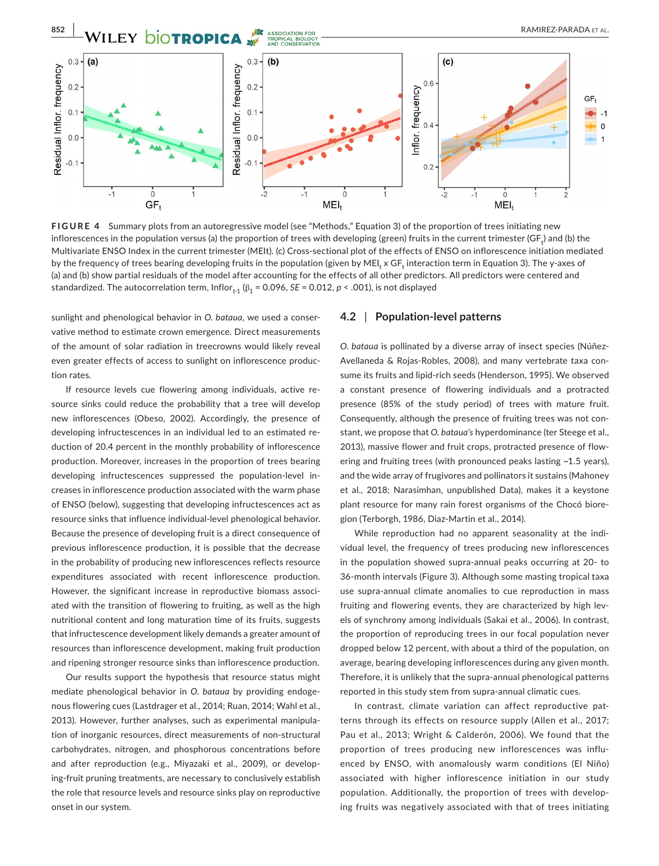

**FIGURE 4** Summary plots from an autoregressive model (see "Methods," Equation 3) of the proportion of trees initiating new inflorescences in the population versus (a) the proportion of trees with developing (green) fruits in the current trimester (GF<sub>t</sub>) and (b) the Multivariate ENSO Index in the current trimester (MEIt). (c) Cross-sectional plot of the effects of ENSO on inflorescence initiation mediated by the frequency of trees bearing developing fruits in the population (given by MEI<sub>t</sub> x GF<sub>t</sub> interaction term in Equation 3). The y-axes of (a) and (b) show partial residuals of the model after accounting for the effects of all other predictors. All predictors were centered and standardized. The autocorrelation term, Inflor<sub>t-1</sub> ( $\beta_1$  = 0.096, *SE* = 0.012, *p* < .001), is not displayed

sunlight and phenological behavior in *O. bataua*, we used a conservative method to estimate crown emergence. Direct measurements of the amount of solar radiation in treecrowns would likely reveal even greater effects of access to sunlight on inflorescence production rates.

If resource levels cue flowering among individuals, active resource sinks could reduce the probability that a tree will develop new inflorescences (Obeso, 2002). Accordingly, the presence of developing infructescences in an individual led to an estimated reduction of 20.4 percent in the monthly probability of inflorescence production. Moreover, increases in the proportion of trees bearing developing infructescences suppressed the population-level increases in inflorescence production associated with the warm phase of ENSO (below), suggesting that developing infructescences act as resource sinks that influence individual-level phenological behavior. Because the presence of developing fruit is a direct consequence of previous inflorescence production, it is possible that the decrease in the probability of producing new inflorescences reflects resource expenditures associated with recent inflorescence production. However, the significant increase in reproductive biomass associated with the transition of flowering to fruiting, as well as the high nutritional content and long maturation time of its fruits, suggests that infructescence development likely demands a greater amount of resources than inflorescence development, making fruit production and ripening stronger resource sinks than inflorescence production.

Our results support the hypothesis that resource status might mediate phenological behavior in *O. bataua* by providing endogenous flowering cues (Lastdrager et al., 2014; Ruan, 2014; Wahl et al., 2013). However, further analyses, such as experimental manipulation of inorganic resources, direct measurements of non-structural carbohydrates, nitrogen, and phosphorous concentrations before and after reproduction (e.g., Miyazaki et al., 2009), or developing-fruit pruning treatments, are necessary to conclusively establish the role that resource levels and resource sinks play on reproductive onset in our system.

### **4.2** | **Population-level patterns**

*O. bataua* is pollinated by a diverse array of insect species (Núñez-Avellaneda & Rojas-Robles, 2008), and many vertebrate taxa consume its fruits and lipid-rich seeds (Henderson, 1995). We observed a constant presence of flowering individuals and a protracted presence (85% of the study period) of trees with mature fruit. Consequently, although the presence of fruiting trees was not constant, we propose that *O. bataua's* hyperdominance (ter Steege et al., 2013), massive flower and fruit crops, protracted presence of flowering and fruiting trees (with pronounced peaks lasting ~1.5 years), and the wide array of frugivores and pollinators it sustains (Mahoney et al., 2018; Narasimhan, unpublished Data), makes it a keystone plant resource for many rain forest organisms of the Chocó bioregion (Terborgh, 1986, Diaz-Martin et al., 2014).

While reproduction had no apparent seasonality at the individual level, the frequency of trees producing new inflorescences in the population showed supra-annual peaks occurring at 20- to 36-month intervals (Figure 3). Although some masting tropical taxa use supra-annual climate anomalies to cue reproduction in mass fruiting and flowering events, they are characterized by high levels of synchrony among individuals (Sakai et al., 2006). In contrast, the proportion of reproducing trees in our focal population never dropped below 12 percent, with about a third of the population, on average, bearing developing inflorescences during any given month. Therefore, it is unlikely that the supra-annual phenological patterns reported in this study stem from supra-annual climatic cues.

In contrast, climate variation can affect reproductive patterns through its effects on resource supply (Allen et al., 2017; Pau et al., 2013; Wright & Calderón, 2006). We found that the proportion of trees producing new inflorescences was influenced by ENSO, with anomalously warm conditions (El Niño) associated with higher inflorescence initiation in our study population. Additionally, the proportion of trees with developing fruits was negatively associated with that of trees initiating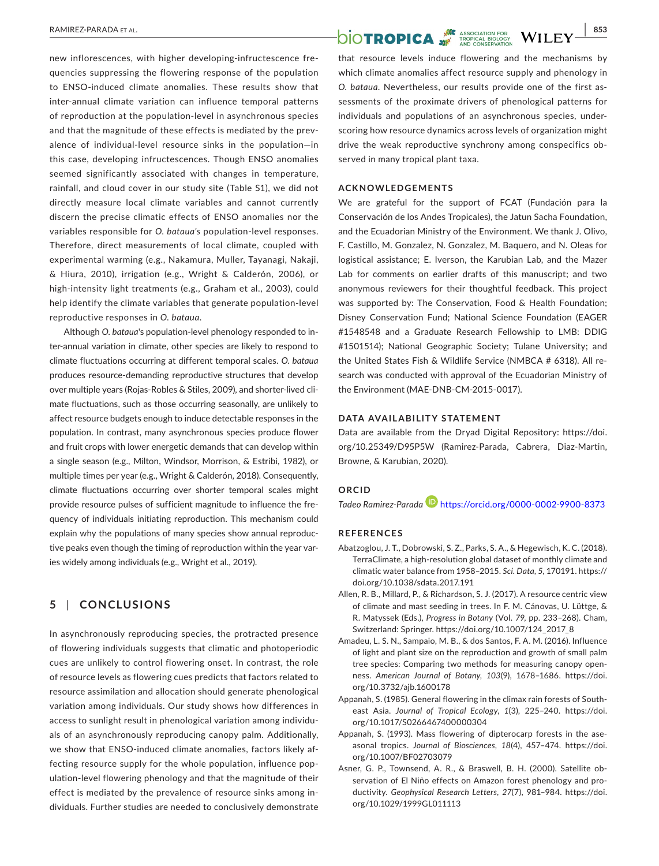new inflorescences, with higher developing-infructescence frequencies suppressing the flowering response of the population to ENSO-induced climate anomalies. These results show that inter-annual climate variation can influence temporal patterns of reproduction at the population-level in asynchronous species and that the magnitude of these effects is mediated by the prevalence of individual-level resource sinks in the population—in this case, developing infructescences. Though ENSO anomalies seemed significantly associated with changes in temperature, rainfall, and cloud cover in our study site (Table S1), we did not directly measure local climate variables and cannot currently discern the precise climatic effects of ENSO anomalies nor the variables responsible for *O. bataua's* population-level responses. Therefore, direct measurements of local climate, coupled with experimental warming (e.g., Nakamura, Muller, Tayanagi, Nakaji, & Hiura, 2010), irrigation (e.g., Wright & Calderón, 2006), or high-intensity light treatments (e.g., Graham et al., 2003), could help identify the climate variables that generate population-level reproductive responses in *O. bataua*.

Although *O. bataua*'s population-level phenology responded to inter-annual variation in climate, other species are likely to respond to climate fluctuations occurring at different temporal scales. *O. bataua* produces resource-demanding reproductive structures that develop over multiple years (Rojas-Robles & Stiles, 2009), and shorter-lived climate fluctuations, such as those occurring seasonally, are unlikely to affect resource budgets enough to induce detectable responses in the population. In contrast, many asynchronous species produce flower and fruit crops with lower energetic demands that can develop within a single season (e.g., Milton, Windsor, Morrison, & Estribi, 1982), or multiple times per year (e.g., Wright & Calderón, 2018). Consequently, climate fluctuations occurring over shorter temporal scales might provide resource pulses of sufficient magnitude to influence the frequency of individuals initiating reproduction. This mechanism could explain why the populations of many species show annual reproductive peaks even though the timing of reproduction within the year varies widely among individuals (e.g., Wright et al., 2019).

# **5** | **CONCLUSIONS**

In asynchronously reproducing species, the protracted presence of flowering individuals suggests that climatic and photoperiodic cues are unlikely to control flowering onset. In contrast, the role of resource levels as flowering cues predicts that factors related to resource assimilation and allocation should generate phenological variation among individuals. Our study shows how differences in access to sunlight result in phenological variation among individuals of an asynchronously reproducing canopy palm*.* Additionally, we show that ENSO-induced climate anomalies, factors likely affecting resource supply for the whole population, influence population-level flowering phenology and that the magnitude of their effect is mediated by the prevalence of resource sinks among individuals. Further studies are needed to conclusively demonstrate

# **RAMIREZ-PARADA ET AL.** 853

that resource levels induce flowering and the mechanisms by which climate anomalies affect resource supply and phenology in *O. bataua*. Nevertheless, our results provide one of the first assessments of the proximate drivers of phenological patterns for individuals and populations of an asynchronous species, underscoring how resource dynamics across levels of organization might drive the weak reproductive synchrony among conspecifics observed in many tropical plant taxa.

### **ACKNOWLEDGEMENTS**

We are grateful for the support of FCAT (Fundación para la Conservación de los Andes Tropicales), the Jatun Sacha Foundation, and the Ecuadorian Ministry of the Environment. We thank J. Olivo, F. Castillo, M. Gonzalez, N. Gonzalez, M. Baquero, and N. Oleas for logistical assistance; E. Iverson, the Karubian Lab, and the Mazer Lab for comments on earlier drafts of this manuscript; and two anonymous reviewers for their thoughtful feedback. This project was supported by: The Conservation, Food & Health Foundation; Disney Conservation Fund; National Science Foundation (EAGER #1548548 and a Graduate Research Fellowship to LMB: DDIG #1501514); National Geographic Society; Tulane University; and the United States Fish & Wildlife Service (NMBCA # 6318). All research was conducted with approval of the Ecuadorian Ministry of the Environment (MAE-DNB-CM-2015-0017).

### **DATA AVAILABILITY STATEMENT**

Data are available from the Dryad Digital Repository: [https://doi.](https://doi.org/10.25349/D95P5W) [org/10.25349/D95P5W](https://doi.org/10.25349/D95P5W) (Ramirez-Parada, Cabrera, Diaz-Martin, Browne, & Karubian, 2020).

#### **ORCID**

*Tadeo Ramirez-Parad[a](https://orcid.org/0000-0002-9900-8373)* <https://orcid.org/0000-0002-9900-8373>

#### **REFERENCES**

- Abatzoglou, J. T., Dobrowski, S. Z., Parks, S. A., & Hegewisch, K. C. (2018). TerraClimate, a high-resolution global dataset of monthly climate and climatic water balance from 1958–2015. *Sci. Data*, *5*, 170191. [https://](https://doi.org/10.1038/sdata.2017.191) [doi.org/10.1038/sdata.2017.191](https://doi.org/10.1038/sdata.2017.191)
- Allen, R. B., Millard, P., & Richardson, S. J. (2017). A resource centric view of climate and mast seeding in trees. In F. M. Cánovas, U. Lüttge, & R. Matyssek (Eds.), *Progress in Botany* (Vol. *79*, pp. 233–268). Cham, Switzerland: Springer. [https://doi.org/10.1007/124\\_2017\\_8](https://doi.org/10.1007/124_2017_8)
- Amadeu, L. S. N., Sampaio, M. B., & dos Santos, F. A. M. (2016). Influence of light and plant size on the reproduction and growth of small palm tree species: Comparing two methods for measuring canopy openness. *American Journal of Botany*, *103*(9), 1678–1686. [https://doi.](https://doi.org/10.3732/ajb.1600178) [org/10.3732/ajb.1600178](https://doi.org/10.3732/ajb.1600178)
- Appanah, S. (1985). General flowering in the climax rain forests of Southeast Asia. *Journal of Tropical Ecology*, *1*(3), 225–240. [https://doi.](https://doi.org/10.1017/S0266467400000304) [org/10.1017/S0266467400000304](https://doi.org/10.1017/S0266467400000304)
- Appanah, S. (1993). Mass flowering of dipterocarp forests in the aseasonal tropics. *Journal of Biosciences*, *18*(4), 457–474. [https://doi.](https://doi.org/10.1007/BF02703079) [org/10.1007/BF02703079](https://doi.org/10.1007/BF02703079)
- Asner, G. P., Townsend, A. R., & Braswell, B. H. (2000). Satellite observation of El Niño effects on Amazon forest phenology and productivity. *Geophysical Research Letters*, *27*(7), 981–984. [https://doi.](https://doi.org/10.1029/1999GL011113) [org/10.1029/1999GL011113](https://doi.org/10.1029/1999GL011113)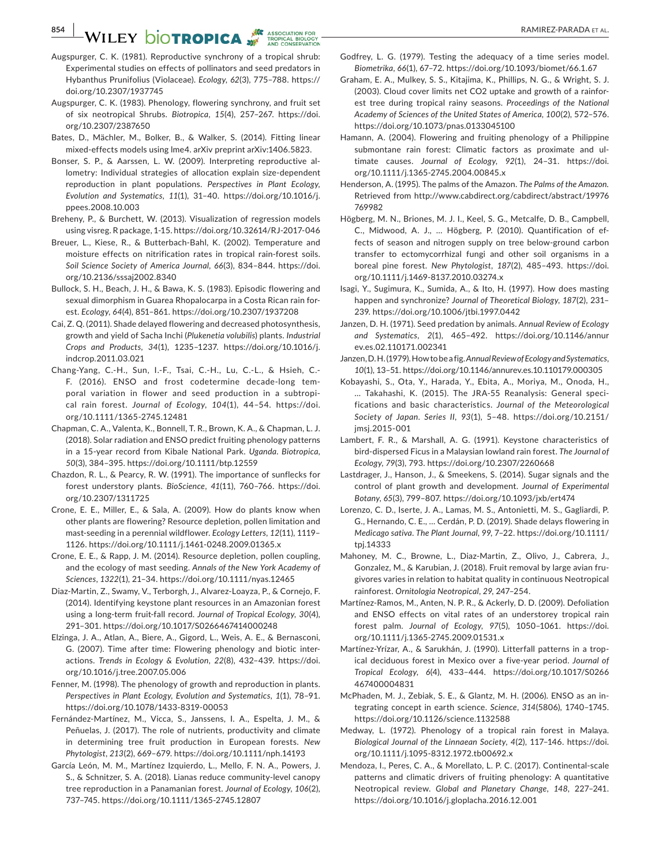# **854 WILEY DIOTROPICA**

- Augspurger, C. K. (1981). Reproductive synchrony of a tropical shrub: Experimental studies on effects of pollinators and seed predators in Hybanthus Prunifolius (Violaceae). *Ecology*, *62*(3), 775–788. [https://](https://doi.org/10.2307/1937745) [doi.org/10.2307/1937745](https://doi.org/10.2307/1937745)
- Augspurger, C. K. (1983). Phenology, flowering synchrony, and fruit set of six neotropical Shrubs. *Biotropica*, *15*(4), 257–267. [https://doi.](https://doi.org/10.2307/2387650) [org/10.2307/2387650](https://doi.org/10.2307/2387650)
- Bates, D., Mächler, M., Bolker, B., & Walker, S. (2014). Fitting linear mixed-effects models using lme4. arXiv preprint arXiv:1406.5823.
- Bonser, S. P., & Aarssen, L. W. (2009). Interpreting reproductive allometry: Individual strategies of allocation explain size-dependent reproduction in plant populations. *Perspectives in Plant Ecology, Evolution and Systematics*, *11*(1), 31–40. [https://doi.org/10.1016/j.](https://doi.org/10.1016/j.ppees.2008.10.003) [ppees.2008.10.003](https://doi.org/10.1016/j.ppees.2008.10.003)
- Breheny, P., & Burchett, W. (2013). Visualization of regression models using visreg. R package, 1-15.<https://doi.org/10.32614/RJ-2017-046>
- Breuer, L., Kiese, R., & Butterbach-Bahl, K. (2002). Temperature and moisture effects on nitrification rates in tropical rain-forest soils. *Soil Science Society of America Journal*, *66*(3), 834–844. [https://doi.](https://doi.org/10.2136/sssaj2002.8340) [org/10.2136/sssaj2002.8340](https://doi.org/10.2136/sssaj2002.8340)
- Bullock, S. H., Beach, J. H., & Bawa, K. S. (1983). Episodic flowering and sexual dimorphism in Guarea Rhopalocarpa in a Costa Rican rain forest. *Ecology*, *64*(4), 851–861. <https://doi.org/10.2307/1937208>
- Cai, Z. Q. (2011). Shade delayed flowering and decreased photosynthesis, growth and yield of Sacha Inchi (*Plukenetia volubilis*) plants. *Industrial Crops and Products*, *34*(1), 1235–1237. [https://doi.org/10.1016/j.](https://doi.org/10.1016/j.indcrop.2011.03.021) [indcrop.2011.03.021](https://doi.org/10.1016/j.indcrop.2011.03.021)
- Chang-Yang, C.-H., Sun, I.-F., Tsai, C.-H., Lu, C.-L., & Hsieh, C.- F. (2016). ENSO and frost codetermine decade-long temporal variation in flower and seed production in a subtropical rain forest. *Journal of Ecology*, *104*(1), 44–54. [https://doi.](https://doi.org/10.1111/1365-2745.12481) [org/10.1111/1365-2745.12481](https://doi.org/10.1111/1365-2745.12481)
- Chapman, C. A., Valenta, K., Bonnell, T. R., Brown, K. A., & Chapman, L. J. (2018). Solar radiation and ENSO predict fruiting phenology patterns in a 15-year record from Kibale National Park. *Uganda. Biotropica*, *50*(3), 384–395.<https://doi.org/10.1111/btp.12559>
- Chazdon, R. L., & Pearcy, R. W. (1991). The importance of sunflecks for forest understory plants. *BioScience*, *41*(11), 760–766. [https://doi.](https://doi.org/10.2307/1311725) [org/10.2307/1311725](https://doi.org/10.2307/1311725)
- Crone, E. E., Miller, E., & Sala, A. (2009). How do plants know when other plants are flowering? Resource depletion, pollen limitation and mast-seeding in a perennial wildflower. *Ecology Letters*, *12*(11), 1119– 1126. <https://doi.org/10.1111/j.1461-0248.2009.01365.x>
- Crone, E. E., & Rapp, J. M. (2014). Resource depletion, pollen coupling, and the ecology of mast seeding. *Annals of the New York Academy of Sciences*, *1322*(1), 21–34. <https://doi.org/10.1111/nyas.12465>
- Diaz-Martin, Z., Swamy, V., Terborgh, J., Alvarez-Loayza, P., & Cornejo, F. (2014). Identifying keystone plant resources in an Amazonian forest using a long-term fruit-fall record. *Journal of Tropical Ecology*, *30*(4), 291–301.<https://doi.org/10.1017/S0266467414000248>
- Elzinga, J. A., Atlan, A., Biere, A., Gigord, L., Weis, A. E., & Bernasconi, G. (2007). Time after time: Flowering phenology and biotic interactions. *Trends in Ecology & Evolution*, *22*(8), 432–439. [https://doi.](https://doi.org/10.1016/j.tree.2007.05.006) [org/10.1016/j.tree.2007.05.006](https://doi.org/10.1016/j.tree.2007.05.006)
- Fenner, M. (1998). The phenology of growth and reproduction in plants. *Perspectives in Plant Ecology, Evolution and Systematics*, *1*(1), 78–91. <https://doi.org/10.1078/1433-8319-00053>
- Fernández-Martínez, M., Vicca, S., Janssens, I. A., Espelta, J. M., & Peñuelas, J. (2017). The role of nutrients, productivity and climate in determining tree fruit production in European forests. *New Phytologist*, *213*(2), 669–679.<https://doi.org/10.1111/nph.14193>
- García León, M. M., Martínez Izquierdo, L., Mello, F. N. A., Powers, J. S., & Schnitzer, S. A. (2018). Lianas reduce community-level canopy tree reproduction in a Panamanian forest. *Journal of Ecology*, *106*(2), 737–745.<https://doi.org/10.1111/1365-2745.12807>
- Godfrey, L. G. (1979). Testing the adequacy of a time series model. *Biometrika*, *66*(1), 67–72. <https://doi.org/10.1093/biomet/66.1.67>
- Graham, E. A., Mulkey, S. S., Kitajima, K., Phillips, N. G., & Wright, S. J. (2003). Cloud cover limits net CO2 uptake and growth of a rainforest tree during tropical rainy seasons. *Proceedings of the National Academy of Sciences of the United States of America*, *100*(2), 572–576. <https://doi.org/10.1073/pnas.0133045100>
- Hamann, A. (2004). Flowering and fruiting phenology of a Philippine submontane rain forest: Climatic factors as proximate and ultimate causes. *Journal of Ecology*, *92*(1), 24–31. [https://doi.](https://doi.org/10.1111/j.1365-2745.2004.00845.x) [org/10.1111/j.1365-2745.2004.00845.x](https://doi.org/10.1111/j.1365-2745.2004.00845.x)
- Henderson, A. (1995). The palms of the Amazon. *The Palms of the Amazon.* Retrieved from [http://www.cabdirect.org/cabdirect/abstract/19976](http://www.cabdirect.org/cabdirect/abstract/19976769982) [769982](http://www.cabdirect.org/cabdirect/abstract/19976769982)
- Högberg, M. N., Briones, M. J. I., Keel, S. G., Metcalfe, D. B., Campbell, C., Midwood, A. J., … Högberg, P. (2010). Quantification of effects of season and nitrogen supply on tree below-ground carbon transfer to ectomycorrhizal fungi and other soil organisms in a boreal pine forest. *New Phytologist*, *187*(2), 485–493. [https://doi.](https://doi.org/10.1111/j.1469-8137.2010.03274.x) [org/10.1111/j.1469-8137.2010.03274.x](https://doi.org/10.1111/j.1469-8137.2010.03274.x)
- Isagi, Y., Sugimura, K., Sumida, A., & Ito, H. (1997). How does masting happen and synchronize? *Journal of Theoretical Biology*, *187*(2), 231– 239. <https://doi.org/10.1006/jtbi.1997.0442>
- Janzen, D. H. (1971). Seed predation by animals. *Annual Review of Ecology and Systematics*, *2*(1), 465–492. [https://doi.org/10.1146/annur](https://doi.org/10.1146/annurev.es.02.110171.002341) [ev.es.02.110171.002341](https://doi.org/10.1146/annurev.es.02.110171.002341)
- Janzen, D. H. (1979). How to be a fig. *Annual Review of Ecology and Systematics*, *10*(1), 13–51.<https://doi.org/10.1146/annurev.es.10.110179.000305>
- Kobayashi, S., Ota, Y., Harada, Y., Ebita, A., Moriya, M., Onoda, H., … Takahashi, K. (2015). The JRA-55 Reanalysis: General specifications and basic characteristics. *Journal of the Meteorological Society of Japan. Series II*, *93*(1), 5–48. [https://doi.org/10.2151/](https://doi.org/10.2151/jmsj.2015-001) [jmsj.2015-001](https://doi.org/10.2151/jmsj.2015-001)
- Lambert, F. R., & Marshall, A. G. (1991). Keystone characteristics of bird-dispersed Ficus in a Malaysian lowland rain forest. *The Journal of Ecology*, *79*(3), 793.<https://doi.org/10.2307/2260668>
- Lastdrager, J., Hanson, J., & Smeekens, S. (2014). Sugar signals and the control of plant growth and development. *Journal of Experimental Botany*, *65*(3), 799–807. <https://doi.org/10.1093/jxb/ert474>
- Lorenzo, C. D., Iserte, J. A., Lamas, M. S., Antonietti, M. S., Gagliardi, P. G., Hernando, C. E., … Cerdán, P. D. (2019). Shade delays flowering in *Medicago sativa*. *The Plant Journal*, *99*, 7–22. [https://doi.org/10.1111/](https://doi.org/10.1111/tpj.14333) [tpj.14333](https://doi.org/10.1111/tpj.14333)
- Mahoney, M. C., Browne, L., Diaz-Martin, Z., Olivo, J., Cabrera, J., Gonzalez, M., & Karubian, J. (2018). Fruit removal by large avian frugivores varies in relation to habitat quality in continuous Neotropical rainforest. *Ornitologia Neotropical*, *29*, 247–254.
- Martínez-Ramos, M., Anten, N. P. R., & Ackerly, D. D. (2009). Defoliation and ENSO effects on vital rates of an understorey tropical rain forest palm. *Journal of Ecology*, *97*(5), 1050–1061. [https://doi.](https://doi.org/10.1111/j.1365-2745.2009.01531.x) [org/10.1111/j.1365-2745.2009.01531.x](https://doi.org/10.1111/j.1365-2745.2009.01531.x)
- Martínez-Yrízar, A., & Sarukhán, J. (1990). Litterfall patterns in a tropical deciduous forest in Mexico over a five-year period. *Journal of Tropical Ecology*, *6*(4), 433–444. [https://doi.org/10.1017/S0266](https://doi.org/10.1017/S0266467400004831) [467400004831](https://doi.org/10.1017/S0266467400004831)
- McPhaden, M. J., Zebiak, S. E., & Glantz, M. H. (2006). ENSO as an integrating concept in earth science. *Science*, *314*(5806), 1740–1745. <https://doi.org/10.1126/science.1132588>
- Medway, L. (1972). Phenology of a tropical rain forest in Malaya. *Biological Journal of the Linnaean Society*, *4*(2), 117–146. [https://doi.](https://doi.org/10.1111/j.1095-8312.1972.tb00692.x) [org/10.1111/j.1095-8312.1972.tb00692.x](https://doi.org/10.1111/j.1095-8312.1972.tb00692.x)
- Mendoza, I., Peres, C. A., & Morellato, L. P. C. (2017). Continental-scale patterns and climatic drivers of fruiting phenology: A quantitative Neotropical review. *Global and Planetary Change*, *148*, 227–241. <https://doi.org/10.1016/j.gloplacha.2016.12.001>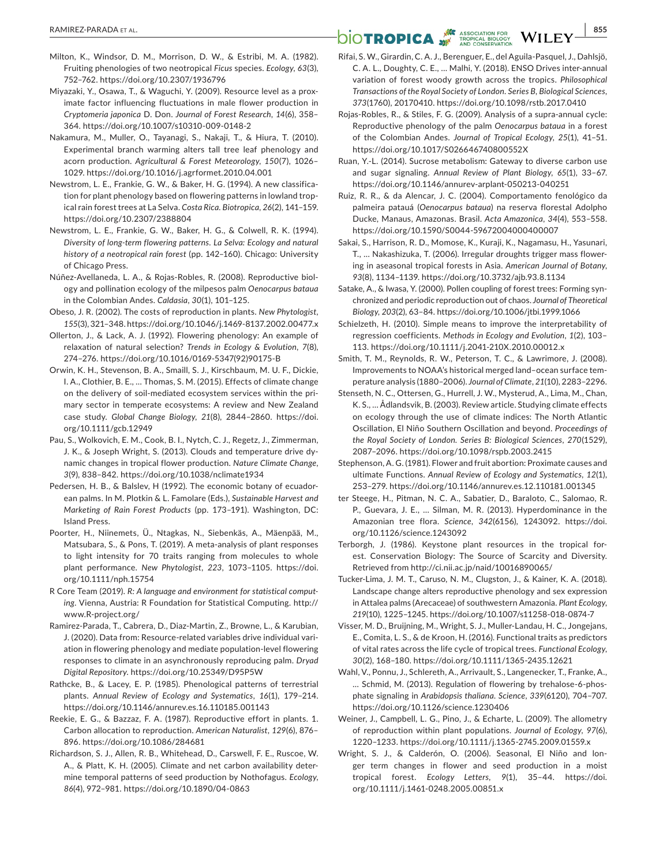- Milton, K., Windsor, D. M., Morrison, D. W., & Estribi, M. A. (1982). Fruiting phenologies of two neotropical *Ficus* species. *Ecology*, *63*(3), 752–762.<https://doi.org/10.2307/1936796>
- Miyazaki, Y., Osawa, T., & Waguchi, Y. (2009). Resource level as a proximate factor influencing fluctuations in male flower production in *Cryptomeria japonica* D. Don. *Journal of Forest Research*, *14*(6), 358– 364.<https://doi.org/10.1007/s10310-009-0148-2>
- Nakamura, M., Muller, O., Tayanagi, S., Nakaji, T., & Hiura, T. (2010). Experimental branch warming alters tall tree leaf phenology and acorn production. *Agricultural & Forest Meteorology*, *150*(7), 1026– 1029.<https://doi.org/10.1016/j.agrformet.2010.04.001>
- Newstrom, L. E., Frankie, G. W., & Baker, H. G. (1994). A new classification for plant phenology based on flowering patterns in lowland tropical rain forest trees at La Selva. *Costa Rica. Biotropica*, *26*(2), 141–159. <https://doi.org/10.2307/2388804>
- Newstrom, L. E., Frankie, G. W., Baker, H. G., & Colwell, R. K. (1994). *Diversity of long-term flowering patterns. La Selva: Ecology and natural history of a neotropical rain forest* (pp. 142–160). Chicago: University of Chicago Press.
- Núñez-Avellaneda, L. A., & Rojas-Robles, R. (2008). Reproductive biology and pollination ecology of the milpesos palm *Oenocarpus bataua* in the Colombian Andes. *Caldasia*, *30*(1), 101–125.
- Obeso, J. R. (2002). The costs of reproduction in plants. *New Phytologist*, *155*(3), 321–348.<https://doi.org/10.1046/j.1469-8137.2002.00477.x>
- Ollerton, J., & Lack, A. J. (1992). Flowering phenology: An example of relaxation of natural selection? *Trends in Ecology & Evolution*, *7*(8), 274–276. [https://doi.org/10.1016/0169-5347\(92\)90175-B](https://doi.org/10.1016/0169-5347(92)90175-B)
- Orwin, K. H., Stevenson, B. A., Smaill, S. J., Kirschbaum, M. U. F., Dickie, I. A., Clothier, B. E., … Thomas, S. M. (2015). Effects of climate change on the delivery of soil-mediated ecosystem services within the primary sector in temperate ecosystems: A review and New Zealand case study. *Global Change Biology*, *21*(8), 2844–2860. [https://doi.](https://doi.org/10.1111/gcb.12949) [org/10.1111/gcb.12949](https://doi.org/10.1111/gcb.12949)
- Pau, S., Wolkovich, E. M., Cook, B. I., Nytch, C. J., Regetz, J., Zimmerman, J. K., & Joseph Wright, S. (2013). Clouds and temperature drive dynamic changes in tropical flower production. *Nature Climate Change*, *3*(9), 838–842.<https://doi.org/10.1038/nclimate1934>
- Pedersen, H. B., & Balslev, H (1992). The economic botany of ecuadorean palms. In M. Plotkin & L. Famolare (Eds.), *Sustainable Harvest and Marketing of Rain Forest Products* (pp. 173–191). Washington, DC: Island Press.
- Poorter, H., Niinemets, Ü., Ntagkas, N., Siebenkäs, A., Mäenpää, M., Matsubara, S., & Pons, T. (2019). A meta-analysis of plant responses to light intensity for 70 traits ranging from molecules to whole plant performance. *New Phytologist*, *223*, 1073–1105. [https://doi.](https://doi.org/10.1111/nph.15754) [org/10.1111/nph.15754](https://doi.org/10.1111/nph.15754)
- R Core Team (2019). *R: A language and environment for statistical computing*. Vienna, Austria: R Foundation for Statistical Computing. [http://](http://www.R-project.org/) [www.R-project.org/](http://www.R-project.org/)
- Ramirez-Parada, T., Cabrera, D., Diaz-Martin, Z., Browne, L., & Karubian, J. (2020). Data from: Resource-related variables drive individual variation in flowering phenology and mediate population-level flowering responses to climate in an asynchronously reproducing palm. *Dryad Digital Repository*.<https://doi.org/10.25349/D95P5W>
- Rathcke, B., & Lacey, E. P. (1985). Phenological patterns of terrestrial plants. *Annual Review of Ecology and Systematics*, *16*(1), 179–214. <https://doi.org/10.1146/annurev.es.16.110185.001143>
- Reekie, E. G., & Bazzaz, F. A. (1987). Reproductive effort in plants. 1. Carbon allocation to reproduction. *American Naturalist*, *129*(6), 876– 896. <https://doi.org/10.1086/284681>
- Richardson, S. J., Allen, R. B., Whitehead, D., Carswell, F. E., Ruscoe, W. A., & Platt, K. H. (2005). Climate and net carbon availability determine temporal patterns of seed production by Nothofagus. *Ecology*, *86*(4), 972–981. <https://doi.org/10.1890/04-0863>

# **RAMIREZ-PARADA ET AL.** 855<br> **DIOTROPICA**

- Rifai, S. W., Girardin, C. A. J., Berenguer, E., del Aguila-Pasquel, J., Dahlsjö, C. A. L., Doughty, C. E., … Malhi, Y. (2018). ENSO Drives inter-annual variation of forest woody growth across the tropics. *Philosophical Transactions of the Royal Society of London. Series B, Biological Sciences*, *373*(1760), 20170410. <https://doi.org/10.1098/rstb.2017.0410>
- Rojas-Robles, R., & Stiles, F. G. (2009). Analysis of a supra-annual cycle: Reproductive phenology of the palm *Oenocarpus bataua* in a forest of the Colombian Andes. *Journal of Tropical Ecology*, *25*(1), 41–51. <https://doi.org/10.1017/S026646740800552X>
- Ruan, Y.-L. (2014). Sucrose metabolism: Gateway to diverse carbon use and sugar signaling. *Annual Review of Plant Biology*, *65*(1), 33–67. <https://doi.org/10.1146/annurev-arplant-050213-040251>
- Ruiz, R. R., & da Alencar, J. C. (2004). Comportamento fenológico da palmeira patauá (*Oenocarpus bataua*) na reserva florestal Adolpho Ducke, Manaus, Amazonas. Brasil. *Acta Amazonica*, *34*(4), 553–558. <https://doi.org/10.1590/S0044-59672004000400007>
- Sakai, S., Harrison, R. D., Momose, K., Kuraji, K., Nagamasu, H., Yasunari, T., … Nakashizuka, T. (2006). Irregular droughts trigger mass flowering in aseasonal tropical forests in Asia. *American Journal of Botany*, *93*(8), 1134–1139.<https://doi.org/10.3732/ajb.93.8.1134>
- Satake, A., & Iwasa, Y. (2000). Pollen coupling of forest trees: Forming synchronized and periodic reproduction out of chaos. *Journal of Theoretical Biology*, *203*(2), 63–84.<https://doi.org/10.1006/jtbi.1999.1066>
- Schielzeth, H. (2010). Simple means to improve the interpretability of regression coefficients. *Methods in Ecology and Evolution*, *1*(2), 103– 113.<https://doi.org/10.1111/j.2041-210X.2010.00012.x>
- Smith, T. M., Reynolds, R. W., Peterson, T. C., & Lawrimore, J. (2008). Improvements to NOAA's historical merged land–ocean surface temperature analysis (1880–2006). *Journal of Climate*, *21*(10), 2283–2296.
- Stenseth, N. C., Ottersen, G., Hurrell, J. W., Mysterud, A., Lima, M., Chan, K. S., … Ådlandsvik, B. (2003). Review article. Studying climate effects on ecology through the use of climate indices: The North Atlantic Oscillation, El Niño Southern Oscillation and beyond. *Proceedings of the Royal Society of London. Series B: Biological Sciences*, *270*(1529), 2087–2096.<https://doi.org/10.1098/rspb.2003.2415>
- Stephenson, A. G. (1981). Flower and fruit abortion: Proximate causes and ultimate Functions. *Annual Review of Ecology and Systematics*, *12*(1), 253–279.<https://doi.org/10.1146/annurev.es.12.110181.001345>
- ter Steege, H., Pitman, N. C. A., Sabatier, D., Baraloto, C., Salomao, R. P., Guevara, J. E., … Silman, M. R. (2013). Hyperdominance in the Amazonian tree flora. *Science*, *342*(6156), 1243092. [https://doi.](https://doi.org/10.1126/science.1243092) [org/10.1126/science.1243092](https://doi.org/10.1126/science.1243092)
- Terborgh, J. (1986). Keystone plant resources in the tropical forest. Conservation Biology: The Source of Scarcity and Diversity. Retrieved from<http://ci.nii.ac.jp/naid/10016890065/>
- Tucker-Lima, J. M. T., Caruso, N. M., Clugston, J., & Kainer, K. A. (2018). Landscape change alters reproductive phenology and sex expression in Attalea palms (Arecaceae) of southwestern Amazonia. *Plant Ecology*, *219*(10), 1225–1245. <https://doi.org/10.1007/s11258-018-0874-7>
- Visser, M. D., Bruijning, M., Wright, S. J., Muller-Landau, H. C., Jongejans, E., Comita, L. S., & de Kroon, H. (2016). Functional traits as predictors of vital rates across the life cycle of tropical trees. *Functional Ecology*, *30*(2), 168–180. <https://doi.org/10.1111/1365-2435.12621>
- Wahl, V., Ponnu, J., Schlereth, A., Arrivault, S., Langenecker, T., Franke, A., … Schmid, M. (2013). Regulation of flowering by trehalose-6-phosphate signaling in *Arabidopsis thaliana*. *Science*, *339*(6120), 704–707. <https://doi.org/10.1126/science.1230406>
- Weiner, J., Campbell, L. G., Pino, J., & Echarte, L. (2009). The allometry of reproduction within plant populations. *Journal of Ecology*, *97*(6), 1220–1233. <https://doi.org/10.1111/j.1365-2745.2009.01559.x>
- Wright, S. J., & Calderón, O. (2006). Seasonal, El Niño and longer term changes in flower and seed production in a moist tropical forest. *Ecology Letters*, *9*(1), 35–44. [https://doi.](https://doi.org/10.1111/j.1461-0248.2005.00851.x) [org/10.1111/j.1461-0248.2005.00851.x](https://doi.org/10.1111/j.1461-0248.2005.00851.x)